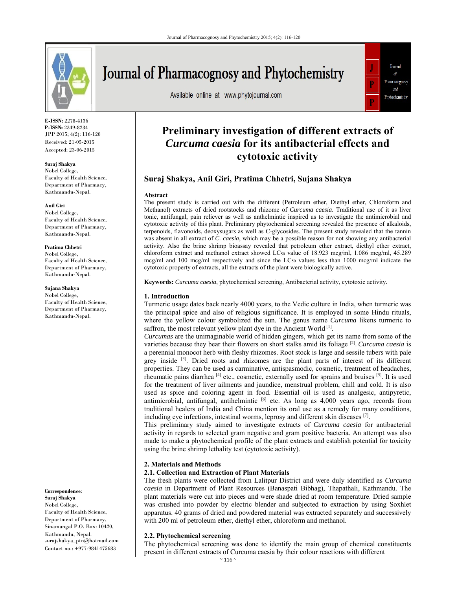

**E-ISSN:** 2278-4136 **P-ISSN:** 2349-8234 JPP 2015; 4(2): 116-120 Received: 21-05-2015 Accepted: 23-06-2015

#### **Suraj Shakya**

Nobel College, Faculty of Health Science, Department of Pharmacy, Kathmandu-Nepal.

#### **Anil Giri**

Nobel College, Faculty of Health Science, Department of Pharmacy, Kathmandu-Nepal.

# **Pratima Chhetri**

Nobel College, Faculty of Health Science, Department of Pharmacy, Kathmandu-Nepal.

#### **Sujana Shakya**

Nobel College, Faculty of Health Science, Department of Pharmacy, Kathmandu-Nepal.

**Suraj Shakya**  Nobel College, Faculty of Health Science, Department of Pharmacy, Sinamangal P.O. Box: 10420, Kathmandu, Nepal. surajshakya\_ptn@hotmail.com Contact no.: +977-9841475683

**Correspondence**:

# Journal of Pharmacognosy and Phytochemistry

Available online at www.phytojournal.com



# **Preliminary investigation of different extracts of**  *Curcuma caesia* **for its antibacterial effects and cytotoxic activity**

# **Suraj Shakya, Anil Giri, Pratima Chhetri, Sujana Shakya**

#### **Abstract**

The present study is carried out with the different (Petroleum ether, Diethyl ether, Chloroform and Methanol) extracts of dried rootstocks and rhizome of *Curcuma caesia*. Traditional use of it as liver tonic, antifungal, pain reliever as well as anthelmintic inspired us to investigate the antimicrobial and cytotoxic activity of this plant. Preliminary phytochemical screening revealed the presence of alkaloids, terpenoids, flavonoids, deoxysugars as well as C-glycosides. The present study revealed that the tannin was absent in all extract of *C. caesia*, which may be a possible reason for not showing any antibacterial activity. Also the brine shrimp bioassay revealed that petroleum ether extract, diethyl ether extract, chloroform extract and methanol extract showed LC<sub>50</sub> value of 18.923 mcg/ml, 1.086 mcg/ml, 45.289 mcg/ml and 100 mcg/ml respectively and since the LC<sub>50</sub> values less than 1000 mcg/ml indicate the cytotoxic property of extracts, all the extracts of the plant were biologically active.

**Keywords:** *Curcuma caesia*, phytochemical screening, Antibacterial activity, cytotoxic activity*.* 

#### **1. Introduction**

Turmeric usage dates back nearly 4000 years, to the Vedic culture in India, when turmeric was the principal spice and also of religious significance. It is employed in some Hindu rituals, where the yellow colour symbolized the sun. The genus name *Curcuma* likens turmeric to saffron, the most relevant yellow plant dye in the Ancient World<sup>[1]</sup>.

*Curcumas* are the unimaginable world of hidden gingers, which get its name from some of the varieties because they bear their flowers on short stalks amid its foliage [2]. *Curcuma caesia* is a perennial monocot herb with fleshy rhizomes. Root stock is large and sessile tubers with pale grey inside  $[3]$ . Dried roots and rhizomes are the plant parts of interest of its different properties. They can be used as carminative, antispasmodic, cosmetic, treatment of headaches, rheumatic pains diarrhea [4] etc., cosmetic, externally used for sprains and bruises [5]. It is used for the treatment of liver ailments and jaundice, menstrual problem, chill and cold. It is also used as spice and coloring agent in food. Essential oil is used as analgesic, antipyretic, antimicrobial, antifungal, antihelmintic  $[6]$  etc. As long as 4,000 years ago, records from traditional healers of India and China mention its oral use as a remedy for many conditions, including eye infections, intestinal worms, leprosy and different skin diseases [7].

This preliminary study aimed to investigate extracts of *Curcuma caesia* for antibacterial activity in regards to selected gram negative and gram positive bacteria. An attempt was also made to make a phytochemical profile of the plant extracts and establish potential for toxicity using the brine shrimp lethality test (cytotoxic activity).

#### **2. Materials and Methods**

# **2.1. Collection and Extraction of Plant Materials**

The fresh plants were collected from Lalitpur District and were duly identified as *Curcuma caesia* in Department of Plant Resources (Banaspati Bibhag), Thapathali, Kathmandu. The plant materials were cut into pieces and were shade dried at room temperature. Dried sample was crushed into powder by electric blender and subjected to extraction by using Soxhlet apparatus. 40 grams of dried and powdered material was extracted separately and successively with 200 ml of petroleum ether, diethyl ether, chloroform and methanol.

# **2.2. Phytochemical screening**

The phytochemical screening was done to identify the main group of chemical constituents present in different extracts of Curcuma caesia by their colour reactions with different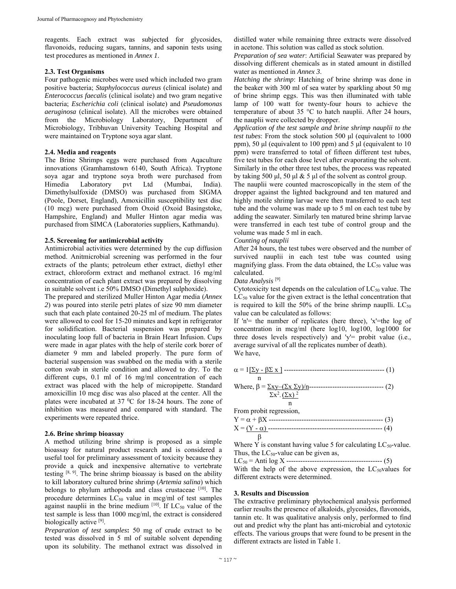reagents. Each extract was subjected for glycosides, flavonoids, reducing sugars, tannins, and saponin tests using test procedures as mentioned in *Annex 1*.

#### **2.3. Test Organisms**

Four pathogenic microbes were used which included two gram positive bacteria; *Staphylococcus aureus* (clinical isolate) and *Enterococcus faecalis* (clinical isolate) and two gram negative bacteria; *Escherichia coli* (clinical isolate) and *Pseudomonas aeruginosa* (clinical isolate). All the microbes were obtained from the Microbiology Laboratory, Department of Microbiology, Tribhuvan University Teaching Hospital and were maintained on Tryptone soya agar slant.

#### **2.4. Media and reagents**

The Brine Shrimps eggs were purchased from Aqaculture innovations (Gramhamstown 6140, South Africa). Tryptone soya agar and tryptone soya broth were purchased from Himedia Laboratory pvt Ltd (Mumbai, India). Dimethylsulfoxide (DMSO) was purchased from SIGMA (Poole, Dorset, England), Amoxicillin susceptibility test disc (10 mcg) were purchased from Oxoid (Oxoid Basingstoke, Hampshire, England) and Muller Hinton agar media was purchased from SIMCA (Laboratories suppliers, Kathmandu).

#### **2.5. Screening for antimicrobial activity**

Antimicrobial activities were determined by the cup diffusion method. Anitmicrobial screening was performed in the four extracts of the plants; petroleum ether extract, diethyl ether extract, chloroform extract and methanol extract. 16 mg/ml concentration of each plant extract was prepared by dissolving in suitable solvent i.e 50% DMSO (Dimethyl sulphoxide).

The prepared and sterilized Muller Hinton Agar media (*Annex 2*) was poured into sterile petri plates of size 90 mm diameter such that each plate contained 20-25 ml of medium. The plates were allowed to cool for 15-20 minutes and kept in refrigerator for solidification. Bacterial suspension was prepared by inoculating loop full of bacteria in Brain Heart Infusion. Cups were made in agar plates with the help of sterile cork borer of diameter 9 mm and labeled properly. The pure form of bacterial suspension was swabbed on the media with a sterile cotton swab in sterile condition and allowed to dry. To the different cups, 0.1 ml of 16 mg/ml concentration of each extract was placed with the help of micropipette. Standard amoxicillin 10 mcg disc was also placed at the center. All the plates were incubated at  $37 \text{ °C}$  for 18-24 hours. The zone of inhibition was measured and compared with standard. The experiments were repeated thrice.

# **2.6. Brine shrimp bioassay**

A method utilizing brine shrimp is proposed as a simple bioassay for natural product research and is considered a useful tool for preliminary assessment of toxicity because they provide a quick and inexpensive alternative to vertebrate testing  $[8, 9]$ . The brine shrimp bioassay is based on the ability to kill laboratory cultured brine shrimp (*Artemia salina*) which belongs to phylum arthopoda and class crustaceae [10]. The procedure determines  $LC_{50}$  value in mcg/ml of test samples against nauplii in the brine medium  $[10]$ . If LC<sub>50</sub> value of the test sample is less than 1000 mcg/ml, the extract is considered biologically active <sup>[9]</sup>.

*Preparation of test samples***:** 50 mg of crude extract to be tested was dissolved in 5 ml of suitable solvent depending upon its solubility. The methanol extract was dissolved in distilled water while remaining three extracts were dissolved in acetone. This solution was called as stock solution.

*Preparation of sea water*: Artificial Seawater was prepared by dissolving different chemicals as in stated amount in distilled water as mentioned in *Annex 3*.

*Hatching the shrimp*: Hatching of brine shrimp was done in the beaker with 300 ml of sea water by sparkling about 50 mg of brine shrimp eggs. This was then illuminated with table lamp of 100 watt for twenty-four hours to achieve the temperature of about 35 °C to hatch nauplii. After 24 hours, the nauplii were collected by dropper.

*Application of the test sample and brine shrimp nauplii to the test tubes*: From the stock solution 500 μl (equivalent to 1000 ppm), 50 μl (equivalent to 100 ppm) and 5 μl (equivalent to 10 ppm) were transferred to total of fifteen different test tubes, five test tubes for each dose level after evaporating the solvent. Similarly in the other three test tubes, the process was repeated by taking 500 μl, 50 μl  $\&$  5 μl of the solvent as control group.

The nauplii were counted macroscopically in the stem of the dropper against the lighted background and ten matured and highly motile shrimp larvae were then transferred to each test tube and the volume was made up to 5 ml on each test tube by adding the seawater. Similarly ten matured brine shrimp larvae were transferred in each test tube of control group and the volume was made 5 ml in each.

#### *Counting of nauplii*

After 24 hours, the test tubes were observed and the number of survived nauplii in each test tube was counted using magnifying glass. From the data obtained, the  $LC_{50}$  value was calculated.

*Data Analysis* [9]

Cytotoxicity test depends on the calculation of  $LC_{50}$  value. The  $LC_{50}$  value for the given extract is the lethal concentration that is required to kill the 50% of the brine shrimp nauplli.  $LC_{50}$ value can be calculated as follows:

If 'n'= the number of replicates (here three), 'x'=the log of concentration in mcg/ml (here log10, log100, log1000 for three doses levels respectively) and 'y'= probit value (i.e., average survival of all the replicates number of death). We have,

= 1y - x ------------------------------------------- (1) n Where, = xy–(x y)/n-------------------------------- (2) x2 - (x) 2 n

From probit regression,

Where Y is constant having value 5 for calculating  $LC_{50}$ -value. Thus, the  $LC_{50}$ -value can be given as,

LC50 = Anti log X ----------------------------------------- (5)

With the help of the above expression, the  $LC_{50}$ values for different extracts were determined.

#### **3. Results and Discussion**

The extractive preliminary phytochemical analysis performed earlier results the presence of alkaloids, glycosides, flavonoids, tannin etc. It was qualitative analysis only, performed to find out and predict why the plant has anti-microbial and cytotoxic effects. The various groups that were found to be present in the different extracts are listed in Table 1.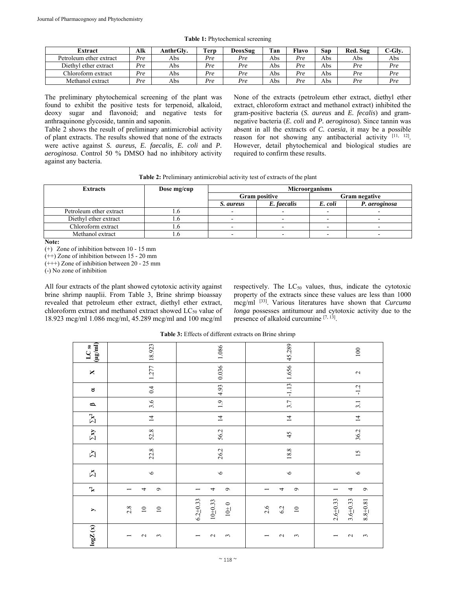| Extract                 | Alk | AnthrGlv. | <b>Terp</b> | DeoxSug | Tan | Flavo | San | Red. Sug | "-Glv. |
|-------------------------|-----|-----------|-------------|---------|-----|-------|-----|----------|--------|
| Petroleum ether extract | Pre | Abs       | Pre         | Pre     | Abs | Pre   | Abs | Abs      | Abs    |
| Diethyl ether extract   | Pre | Abs       | Pre         | Pre     | Abs | Pre   | Abs | Pre      | Pre    |
| Chloroform extract      | Pre | Abs       | Pre         | Pre     | Abs | Pre   | Abs | Pre      | Pre    |
| Methanol extract        | Pre | Abs       | Pre         | Pre     | Abs | Pre   | Abs | Pre      | Pre    |

**Table 1:** Phytochemical screening

The preliminary phytochemical screening of the plant was found to exhibit the positive tests for terpenoid, alkaloid, deoxy sugar and flavonoid; and negative tests for anthraquinone glycoside, tannin and saponin.

Table 2 shows the result of preliminary antimicrobial activity of plant extracts. The results showed that none of the extracts were active against *S. aureus, E. faecalis, E. coli* and *P. aeroginosa*. Control 50 % DMSO had no inhibitory activity against any bacteria.

None of the extracts (petroleum ether extract, diethyl ether extract, chloroform extract and methanol extract) inhibited the gram-positive bacteria (*S. aureus* and *E. fecalis*) and gramnegative bacteria (*E. coli* and *P. aeroginosa*). Since tannin was absent in all the extracts of *C. caesia*, it may be a possible reason for not showing any antibacterial activity [11, 12]. However, detail phytochemical and biological studies are required to confirm these results.

| Table 2: Preliminary antimicrobial activity test of extracts of the plant |  |  |  |  |
|---------------------------------------------------------------------------|--|--|--|--|
|---------------------------------------------------------------------------|--|--|--|--|

| <b>Extracts</b>         | Dose mg/cup |           |                      | Microorganisms |               |
|-------------------------|-------------|-----------|----------------------|----------------|---------------|
|                         |             |           | <b>Gram positive</b> |                | Gram negative |
|                         |             | S. aureus | E. faecalis          | E. coli        | P. aeroginosa |
| Petroleum ether extract |             |           |                      |                |               |
| Diethyl ether extract   |             |           |                      |                |               |
| Chloroform extract      |             |           |                      |                |               |
| Methanol extract        |             |           |                      |                |               |

**Note:** 

(+) Zone of inhibition between 10 - 15 mm

(++) Zone of inhibition between 15 - 20 mm

 $(+++)$  Zone of inhibition between 20 - 25 mm

(-) No zone of inhibition

All four extracts of the plant showed cytotoxic activity against brine shrimp nauplii. From Table 3, Brine shrimp bioassay revealed that petroleum ether extract, diethyl ether extract, chloroform extract and methanol extract showed LC<sub>50</sub> value of 18.923 mcg/ml 1.086 mcg/ml, 45.289 mcg/ml and 100 mcg/ml respectively. The  $LC_{50}$  values, thus, indicate the cytotoxic property of the extracts since these values are less than 1000 mcg/ml [33]. Various literatures have shown that *Curcuma longa* possesses antitumour and cytotoxic activity due to the presence of alkaloid curcumine  $[7, 13]$ .

**Table 3:** Effects of different extracts on Brine shrimp

| log Z(x)                                             | $\rightarrow$                                | $\mathbb{X}^2$ | $\Sigma$ | $\Sigma$ | $\Sigma\mathbf{v}$ | $\Sigma^2$      | $\mathbf{\Omega}$ | ರ       | $\mathsf{X}$ | $\frac{\text{LC}}{(\mu g/\text{ml})}$ |
|------------------------------------------------------|----------------------------------------------|----------------|----------|----------|--------------------|-----------------|-------------------|---------|--------------|---------------------------------------|
| $\sim$<br>$\tilde{3}$<br>$\overline{\phantom{0}}$    | 2.8<br>$\overline{10}$<br>$\overline{10}$    | $\bullet$<br>4 | $\circ$  | 22.8     | 52.8               | $\overline{1}$  | 3.6               | 0.4     | 1.277        | 18.923                                |
| $\sim$<br>$\tilde{3}$<br>$\overline{\phantom{0}}$    | $6.2 + 0.33$<br>$10 + 0.33$<br>$10+0$        | $\bullet$<br>4 | $\circ$  | 26.2     | 56.2               | $\overline{1}$  | $\ddot{.}$        | 4.93    | 0.036        | 1.086                                 |
| $\sim$<br>$\mathfrak{c}$<br>$\overline{\phantom{0}}$ | 2.6<br>6.2<br>$\overline{10}$                | $\bullet$<br>4 | $\circ$  | 18.8     | 45                 | $\overline{14}$ | 3.7               | $-1.13$ | 1.656        | 45.289                                |
| $\sim$<br>$\mathfrak{g}$<br>$\overline{\phantom{0}}$ | $2.6 + 0.33$<br>$3.6 + 0.33$<br>$8.8 + 0.81$ | $\bullet$<br>4 | $\circ$  | 15       | 36.2               | $14$            | 3.1               | $-1.2$  | $\sim$       | 100                                   |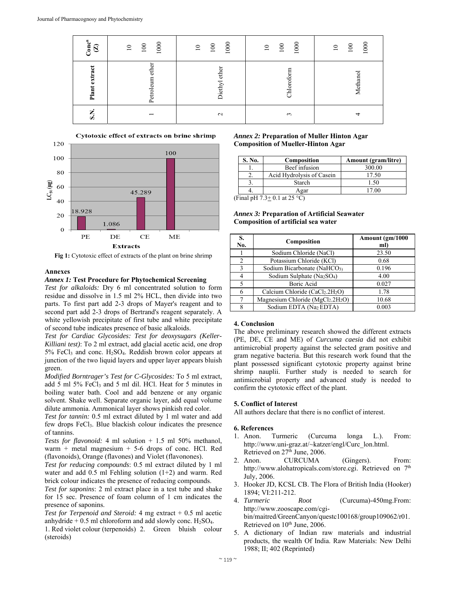| $\mathbf{Conc}^n$<br>$\mathcal{L}$ | 1000<br>$100\,$<br>$\overline{10}$ | 1000<br>$100\,$<br>$\overline{\phantom{0}}$ | 1000<br>$100\,$<br>$\overline{10}$ | 1000<br>$100\,$<br>$\overline{10}$ |
|------------------------------------|------------------------------------|---------------------------------------------|------------------------------------|------------------------------------|
| Plant extract                      | Petroleum ether                    | Diethyl ether                               | Chloroform                         | Methanol                           |
| S.N.                               | $\overline{\phantom{0}}$           | $\mathbf{\sim}$                             | $\mathfrak{c}$                     | $\overline{ }$                     |



**Fig 1:** Cytotoxic effect of extracts of the plant on brine shrimp

# **Annexes**

#### *Annex 1:* **Test Procedure for Phytochemical Screening**

*Test for alkaloids:* Dry 6 ml concentrated solution to form residue and dissolve in 1.5 ml 2% HCL, then divide into two parts. To first part add 2-3 drops of Mayer's reagent and to second part add 2-3 drops of Bertrand's reagent separately. A white yellowish precipitate of first tube and white precipitate of second tube indicates presence of basic alkaloids.

*Test for Cardiac Glycosides: Test for deoxysugars (Keller-Killiani test)*: To 2 ml extract, add glacial acetic acid, one drop 5% FeCl3 and conc. H2SO4. Reddish brown color appears at junction of the two liquid layers and upper layer appears bluish green.

*Modified Borntrager's Test for C-Glycosides:* To 5 ml extract, add 5 ml 5% FeCl<sub>3</sub> and 5 ml dil. HCl. Heat for 5 minutes in boiling water bath. Cool and add benzene or any organic solvent. Shake well. Separate organic layer, add equal volume dilute ammonia. Ammonical layer shows pinkish red color.

*Test for tannin:* 0.5 ml extract diluted by 1 ml water and add few drops FeCl3. Blue blackish colour indicates the presence of tannins.

*Tests for flavonoid:* 4 ml solution + 1.5 ml 50% methanol, warm + metal magnesium + 5-6 drops of conc. HCl. Red (flavonoids), Orange (flavones) and Violet (flavonones).

*Test for reducing compounds*: 0.5 ml extract diluted by 1 ml water and add 0.5 ml Fehling solution (1+2) and warm. Red brick colour indicates the presence of reducing compounds.

*Test for saponins*: 2 ml extract place in a test tube and shake for 15 sec. Presence of foam column of 1 cm indicates the presence of saponins.

*Test for Terpenoid and Steroid:* 4 mg extract + 0.5 ml acetic anhydride  $+ 0.5$  ml chloroform and add slowly conc. H<sub>2</sub>SO<sub>4</sub>.

1. Red violet colour (terpenoids) 2. Green bluish colour (steroids)

## *Annex 2:* **Preparation of Muller Hinton Agar Composition of Mueller-Hinton Agar**

| S. No. | Composition                  | <b>Amount</b> (gram/litre) |
|--------|------------------------------|----------------------------|
|        | Beef infusion                | 300.00                     |
|        | Acid Hydrolysis of Casein    | 17.50                      |
|        | Starch                       | 1.50                       |
|        | Agar                         | 17.00                      |
|        | (Final nH 7 3+ 0 1 at 25 °C) |                            |

(Final pH  $7.3 \pm 0.1$  at 25 °C)

# *Annex 3:* **Preparation of Artificial Seawater Composition of artificial sea water**

| S.<br>No.      | Composition                                             | Amount (gm/1000<br>ml) |
|----------------|---------------------------------------------------------|------------------------|
|                | Sodium Chloride (NaCl)                                  | 23.50                  |
| $\overline{c}$ | Potassium Chloride (KCl)                                | 0.68                   |
| 3              | Sodium Bicarbonate (NaHCO <sub>3)</sub>                 | 0.196                  |
| 4              | Sodium Sulphate (Na <sub>2</sub> SO <sub>4</sub> )      | 4.00                   |
|                | Boric Acid                                              | 0.027                  |
| 6              | Calcium Chloride (CaCl <sub>2</sub> .2H <sub>2</sub> O) | 1.78                   |
|                | Magnesium Chloride ( $MgCl2$ .2H <sub>2</sub> O)        | 10.68                  |
| 8              | Sodium EDTA (Na2 EDTA)                                  | 0.003                  |

# **4. Conclusion**

The above preliminary research showed the different extracts (PE, DE, CE and ME) of *Curcuma caesia* did not exhibit antimicrobial property against the selected gram positive and gram negative bacteria. But this research work found that the plant possessed significant cytotoxic property against brine shrimp nauplii. Further study is needed to search for antimicrobial property and advanced study is needed to confirm the cytotoxic effect of the plant.

# **5. Conflict of Interest**

All authors declare that there is no conflict of interest.

# **6. References**

- 1. Anon. Turmeric (Curcuma longa L.). From: http://www.uni-graz.at/~katzer/engl/Curc\_lon.html. Retrieved on 27<sup>th</sup> June, 2006.
- 2. Anon. CURCUMA (Gingers). From: http://www.alohatropicals.com/store.cgi. Retrieved on 7<sup>th</sup> July, 2006.
- 3. Hooker JD, KCSL CB. The Flora of British India (Hooker) 1894; VI:211-212.
- 4. *Turmeric Root* (Curcuma)-450mg.From: http://www.zooscape.com/cgibin/maitred/GreenCanyon/questc100168/group109062/r01. Retrieved on 10<sup>th</sup> June, 2006.
- 5. A dictionary of Indian raw materials and industrial products, the wealth Of India. Raw Materials: New Delhi 1988; II; 402 (Reprinted)